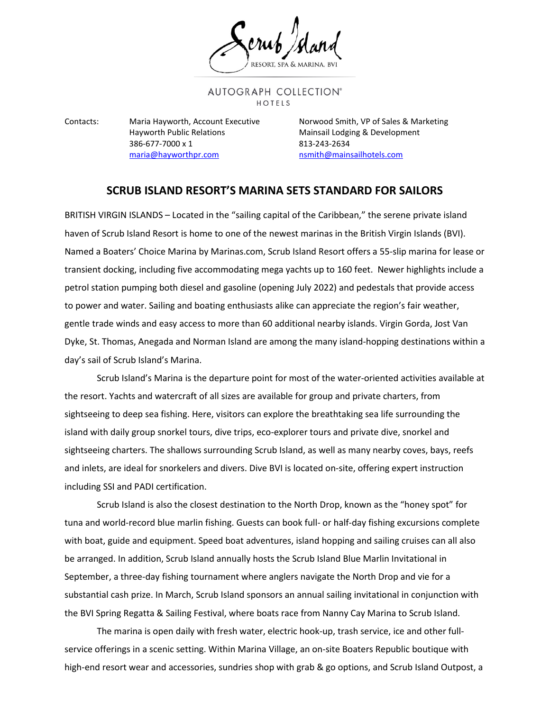## AUTOGRAPH COLLECTION® HOTELS

Hayworth Public Relations **Mainsail Lodging & Development** 386-677-7000 x 1 813-243-2634 [maria@hayworthpr.com](mailto:maria@hayworthpr.com) [nsmith@mainsailhotels.com](mailto:nsmith@mainsailhotels.com)

Contacts: Maria Hayworth, Account Executive Norwood Smith, VP of Sales & Marketing

## **SCRUB ISLAND RESORT'S MARINA SETS STANDARD FOR SAILORS**

BRITISH VIRGIN ISLANDS – Located in the "sailing capital of the Caribbean," the serene private island haven of Scrub Island Resort is home to one of the newest marinas in the British Virgin Islands (BVI). Named a Boaters' Choice Marina by Marinas.com, Scrub Island Resort offers a 55-slip marina for lease or transient docking, including five accommodating mega yachts up to 160 feet. Newer highlights include a petrol station pumping both diesel and gasoline (opening July 2022) and pedestals that provide access to power and water. Sailing and boating enthusiasts alike can appreciate the region's fair weather, gentle trade winds and easy access to more than 60 additional nearby islands. Virgin Gorda, Jost Van Dyke, St. Thomas, Anegada and Norman Island are among the many island-hopping destinations within a day's sail of Scrub Island's Marina.

Scrub Island's Marina is the departure point for most of the water-oriented activities available at the resort. Yachts and watercraft of all sizes are available for group and private charters, from sightseeing to deep sea fishing. Here, visitors can explore the breathtaking sea life surrounding the island with daily group snorkel tours, dive trips, eco-explorer tours and private dive, snorkel and sightseeing charters. The shallows surrounding Scrub Island, as well as many nearby coves, bays, reefs and inlets, are ideal for snorkelers and divers. Dive BVI is located on-site, offering expert instruction including SSI and PADI certification.

Scrub Island is also the closest destination to the North Drop, known as the "honey spot" for tuna and world-record blue marlin fishing. Guests can book full- or half-day fishing excursions complete with boat, guide and equipment. Speed boat adventures, island hopping and sailing cruises can all also be arranged. In addition, Scrub Island annually hosts the Scrub Island Blue Marlin Invitational in September, a three-day fishing tournament where anglers navigate the North Drop and vie for a substantial cash prize. In March, Scrub Island sponsors an annual sailing invitational in conjunction with the BVI Spring Regatta & Sailing Festival, where boats race from Nanny Cay Marina to Scrub Island.

The marina is open daily with fresh water, electric hook-up, trash service, ice and other fullservice offerings in a scenic setting. Within Marina Village, an on-site Boaters Republic boutique with high-end resort wear and accessories, sundries shop with grab & go options, and Scrub Island Outpost, a